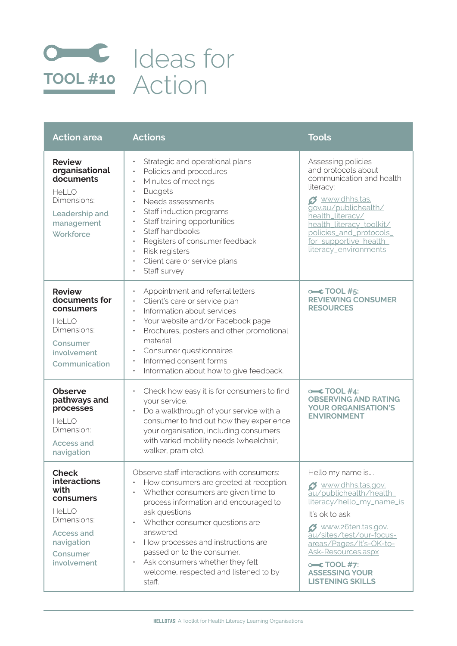

| <b>Action area</b>                                                                                                                             | <b>Actions</b>                                                                                                                                                                                                                                                                                                                                                                                 | <b>Tools</b>                                                                                                                                                                                                                                                                                 |
|------------------------------------------------------------------------------------------------------------------------------------------------|------------------------------------------------------------------------------------------------------------------------------------------------------------------------------------------------------------------------------------------------------------------------------------------------------------------------------------------------------------------------------------------------|----------------------------------------------------------------------------------------------------------------------------------------------------------------------------------------------------------------------------------------------------------------------------------------------|
| <b>Review</b><br>organisational<br>documents<br><b>HeLLO</b><br>Dimensions:<br>Leadership and<br>management<br>Workforce                       | Strategic and operational plans<br>Policies and procedures<br>Minutes of meetings<br>$\bullet$<br><b>Budgets</b><br>$\bullet$<br>Needs assessments<br>$\bullet$<br>Staff induction programs<br>$\bullet$<br>Staff training opportunities<br>Staff handbooks<br>Registers of consumer feedback<br>Risk registers<br>Client care or service plans<br>$\bullet$<br>Staff survey                   | Assessing policies<br>and protocols about<br>communication and health<br>literacy:<br>Ø www.dhhs.tas.<br>gov.au/publichealth/<br>health_literacy/<br>health_literacy_toolkit/<br>policies_and_protocols_<br>for_supportive_health_<br>literacy_environments                                  |
| <b>Review</b><br>documents for<br>consumers<br><b>HeLLO</b><br>Dimensions:<br>Consumer<br>involvement<br>Communication                         | Appointment and referral letters<br>Client's care or service plan<br>$\bullet$<br>Information about services<br>$\bullet$<br>Your website and/or Facebook page<br>Brochures, posters and other promotional<br>$\bullet$<br>material<br>Consumer questionnaires<br>Informed consent forms<br>Information about how to give feedback.                                                            | $\text{O}$ TOOL #5:<br><b>REVIEWING CONSUMER</b><br><b>RESOURCES</b>                                                                                                                                                                                                                         |
| <b>Observe</b><br>pathways and<br>processes<br><b>HeLLO</b><br>Dimension:<br>Access and<br>navigation                                          | Check how easy it is for consumers to find<br>$\bullet$<br>your service.<br>Do a walkthrough of your service with a<br>consumer to find out how they experience<br>your organisation, including consumers<br>with varied mobility needs (wheelchair,<br>walker, pram etc).                                                                                                                     | $\in$ TOOL #4:<br><b>OBSERVING AND RATING</b><br><b>YOUR ORGANISATION'S</b><br><b>ENVIRONMENT</b>                                                                                                                                                                                            |
| <b>Check</b><br>interactions<br>with<br>consumers<br><b>HeLLO</b><br>Dimensions:<br><b>Access and</b><br>navigation<br>Consumer<br>involvement | Observe staff interactions with consumers:<br>How consumers are greeted at reception.<br>Whether consumers are given time to<br>process information and encouraged to<br>ask questions<br>Whether consumer questions are<br>answered<br>How processes and instructions are<br>passed on to the consumer.<br>Ask consumers whether they felt<br>welcome, respected and listened to by<br>staff. | Hello my name is<br>o www.dhhs.tas.gov.<br>au/publichealth/health_<br>literacy/hello_my_name_is<br>It's ok to ask<br>Ø www.26ten.tas.gov.<br>au/sites/test/our-focus-<br>areas/Pages/It's-OK-to-<br>Ask-Resources.aspx<br>$\in$ TOOL #7:<br><b>ASSESSING YOUR</b><br><b>LISTENING SKILLS</b> |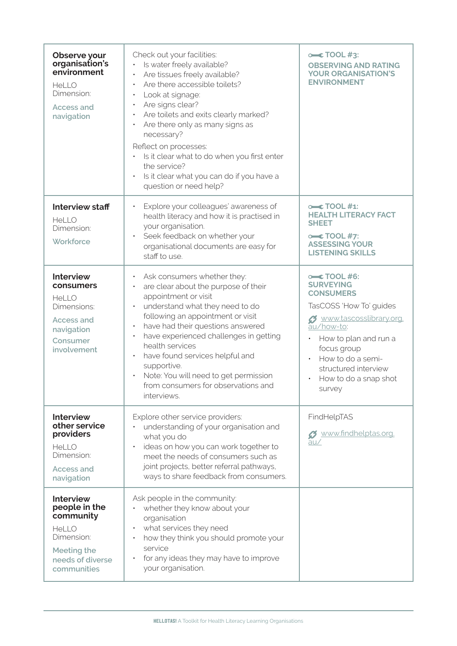| Observe your<br>organisation's<br>environment<br>HeLLO<br>Dimension:<br><b>Access and</b><br>navigation                    | Check out your facilities:<br>Is water freely available?<br>Are tissues freely available?<br>Are there accessible toilets?<br>Look at signage:<br>Are signs clear?<br>Are toilets and exits clearly marked?<br>Are there only as many signs as<br>necessary?<br>Reflect on processes:<br>Is it clear what to do when you first enter<br>the service?<br>Is it clear what you can do if you have a<br>question or need help?                      | $\leftarrow$ TOOL #3:<br><b>OBSERVING AND RATING</b><br><b>YOUR ORGANISATION'S</b><br><b>ENVIRONMENT</b>                                                                                                                                              |
|----------------------------------------------------------------------------------------------------------------------------|--------------------------------------------------------------------------------------------------------------------------------------------------------------------------------------------------------------------------------------------------------------------------------------------------------------------------------------------------------------------------------------------------------------------------------------------------|-------------------------------------------------------------------------------------------------------------------------------------------------------------------------------------------------------------------------------------------------------|
| <b>Interview staff</b><br>HeLLO<br>Dimension:<br>Workforce                                                                 | Explore your colleagues' awareness of<br>$\bullet$<br>health literacy and how it is practised in<br>your organisation.<br>Seek feedback on whether your<br>organisational documents are easy for<br>staff to use.                                                                                                                                                                                                                                | $oc$ TOOL #1:<br><b>HEALTH LITERACY FACT</b><br><b>SHEET</b><br>$\leftarrow$ TOOL #7:<br><b>ASSESSING YOUR</b><br><b>LISTENING SKILLS</b>                                                                                                             |
| <b>Interview</b><br>consumers<br><b>HeLLO</b><br>Dimensions:<br><b>Access and</b><br>navigation<br>Consumer<br>involvement | Ask consumers whether they:<br>are clear about the purpose of their<br>appointment or visit<br>understand what they need to do<br>following an appointment or visit<br>have had their questions answered<br>$\bullet$<br>have experienced challenges in getting<br>$\bullet$<br>health services<br>have found services helpful and<br>supportive.<br>Note: You will need to get permission<br>from consumers for observations and<br>interviews. | $\sim$ TOOL #6:<br><b>SURVEYING</b><br><b>CONSUMERS</b><br>TasCOSS 'How To' guides<br>Ø www.tascosslibrary.org.<br>au/how-to:<br>How to plan and run a<br>focus group<br>How to do a semi-<br>structured interview<br>How to do a snap shot<br>survey |
| <b>Interview</b><br>other service<br>providers<br><b>HeLLO</b><br>Dimension:<br>Access and<br>navigation                   | Explore other service providers:<br>understanding of your organisation and<br>what you do<br>ideas on how you can work together to<br>$\bullet$<br>meet the needs of consumers such as<br>joint projects, better referral pathways,<br>ways to share feedback from consumers.                                                                                                                                                                    | FindHelpTAS<br><b>3</b> www.findhelptas.org.<br>au/                                                                                                                                                                                                   |
| <b>Interview</b><br>people in the<br>community<br>HeLLO<br>Dimension:<br>Meeting the<br>needs of diverse<br>communities    | Ask people in the community:<br>whether they know about your<br>organisation<br>what services they need<br>how they think you should promote your<br>service<br>for any ideas they may have to improve<br>your organisation.                                                                                                                                                                                                                     |                                                                                                                                                                                                                                                       |